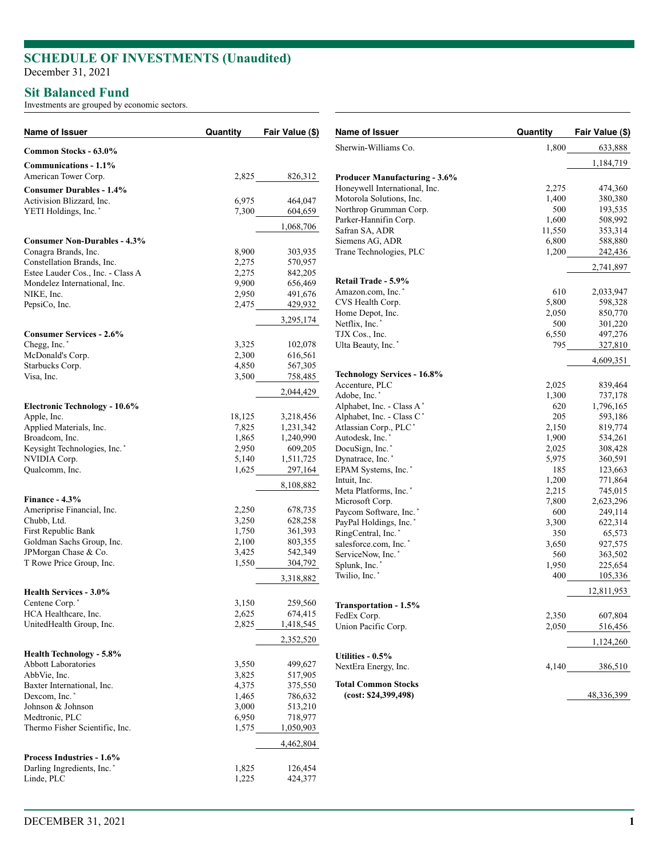**Sit Balanced Fund**

Investments are grouped by economic sectors.

| <b>Name of Issuer</b>                        | Quantity       | Fair Value (\$)      |
|----------------------------------------------|----------------|----------------------|
| Common Stocks - 63.0%                        |                |                      |
| Communications - 1.1%                        |                |                      |
| American Tower Corp.                         | 2,825          | 826,312              |
| <b>Consumer Durables - 1.4%</b>              |                |                      |
| Activision Blizzard, Inc.                    | 6,975          | 464,047              |
| YETI Holdings, Inc.*                         | 7,300          | 604,659              |
|                                              |                | 1,068,706            |
| <b>Consumer Non-Durables - 4.3%</b>          |                |                      |
| Conagra Brands, Inc.                         | 8,900          | 303,935              |
| Constellation Brands, Inc.                   | 2,275          | 570,957              |
| Estee Lauder Cos., Inc. - Class A            | 2,275          | 842,205              |
| Mondelez International, Inc.                 | 9,900          | 656,469              |
| NIKE, Inc.                                   | 2,950          | 491,676              |
| PepsiCo, Inc.                                | 2,475          | 429,932              |
|                                              |                | 3,295,174            |
| <b>Consumer Services - 2.6%</b>              |                |                      |
| Chegg, Inc.*                                 | 3,325          | 102,078              |
| McDonald's Corp.                             | 2,300          | 616,561              |
| Starbucks Corp.                              | 4,850          | 567,305              |
| Visa, Inc.                                   | 3,500          | 758,485              |
|                                              |                | 2,044,429            |
| <b>Electronic Technology - 10.6%</b>         |                |                      |
| Apple, Inc.                                  | 18,125         | 3,218,456            |
| Applied Materials, Inc.                      | 7,825          | 1,231,342            |
| Broadcom, Inc.                               | 1,865          | 1,240,990            |
| Keysight Technologies, Inc.*<br>NVIDIA Corp. | 2,950<br>5,140 | 609,205<br>1,511,725 |
| Qualcomm, Inc.                               | 1,625          | 297,164              |
|                                              |                | 8,108,882            |
| <b>Finance - 4.3%</b>                        |                |                      |
| Ameriprise Financial, Inc.                   | 2,250          | 678,735              |
| Chubb, Ltd.                                  | 3,250          | 628,258              |
| First Republic Bank                          | 1,750          | 361,393              |
| Goldman Sachs Group, Inc.                    | 2,100          | 803,355              |
| JPMorgan Chase & Co.                         | 3,425          | 542,349              |
| T Rowe Price Group, Inc.                     | 1,550          | 304,792              |
|                                              |                | 3,318,882            |
| Health Services - 3.0%                       |                |                      |
| Centene Corp.*                               | 3,150          | 259,560              |
| HCA Healthcare, Inc.                         | 2,625          | 674,415              |
| UnitedHealth Group, Inc.                     | 2,825          | 1,418,545            |
|                                              |                | 2,352,520            |
| <b>Health Technology - 5.8%</b>              |                |                      |
| <b>Abbott Laboratories</b>                   | 3,550          | 499,627              |
| AbbVie, Inc.                                 | 3,825          | 517,905              |
| Baxter International, Inc.                   | 4,375          | 375,550              |
| Dexcom, Inc.*                                | 1,465          | 786,632              |
| Johnson & Johnson                            | 3,000          | 513,210              |
| Medtronic, PLC                               | 6,950          | 718,977              |
| Thermo Fisher Scientific, Inc.               | 1,575          | 1,050,903            |
|                                              |                | 4,462,804            |
| Process Industries - 1.6%                    |                |                      |
| Darling Ingredients, Inc. <sup>*</sup>       | 1,825          | 126,454              |
| Linde, PLC                                   | 1,225          | 424,377              |

| <b>Name of Issuer</b>                              | Quantity | Fair Value (\$)  |
|----------------------------------------------------|----------|------------------|
| Sherwin-Williams Co.                               | 1,800    | 633,888          |
|                                                    |          | 1,184,719        |
| Producer Manufacturing - 3.6%                      |          |                  |
| Honeywell International, Inc.                      | 2,275    | 474,360          |
| Motorola Solutions, Inc.                           | 1,400    | 380,380          |
| Northrop Grumman Corp.                             | 500      | 193,535          |
| Parker-Hannifin Corp.                              | 1,600    | 508,992          |
| Safran SA, ADR                                     | 11,550   | 353,314          |
| Siemens AG, ADR                                    | 6,800    | 588,880          |
| Trane Technologies, PLC                            | 1,200    | 242,436          |
|                                                    |          | 2,741,897        |
| Retail Trade - 5.9%                                |          |                  |
| Amazon.com, Inc.                                   | 610      | 2,033,947        |
| CVS Health Corp.                                   | 5,800    | 598,328          |
| Home Depot, Inc.                                   | 2,050    | 850,770          |
| Netflix, Inc.*                                     | 500      | 301,220          |
| TJX Cos., Inc.                                     | 6,550    | 497,276          |
| Ulta Beauty, Inc.*                                 | 795      | 327,810          |
|                                                    |          | 4,609,351        |
| Technology Services - 16.8%                        |          |                  |
| Accenture, PLC                                     | 2,025    | 839,464          |
| Adobe, Inc.*                                       | 1,300    | 737,178          |
| Alphabet, Inc. - Class A*                          | 620      | 1,796,165        |
| Alphabet, Inc. - Class C*                          | 205      | 593,186          |
| Atlassian Corp., PLC*                              | 2,150    | 819,774          |
| Autodesk, Inc.                                     | 1,900    | 534,261          |
| DocuSign, Inc.*                                    | 2,025    | 308,428          |
| Dynatrace, Inc.*                                   | 5,975    | 360,591          |
| EPAM Systems, Inc.*                                | 185      | 123,663          |
| Intuit, Inc.                                       | 1,200    | 771,864          |
| Meta Platforms, Inc.*                              | 2,215    | 745,015          |
| Microsoft Corp.                                    | 7,800    | 2,623,296        |
| Paycom Software, Inc.*                             | 600      | 249,114          |
| PayPal Holdings, Inc.*                             | 3,300    | 622,314          |
| RingCentral, Inc.*                                 | 350      | 65,573           |
| salesforce.com, Inc.*                              | 3,650    | 927,575          |
| ServiceNow, Inc.*                                  | 560      | 363,502          |
| Splunk, Inc.*                                      | 1,950    | 225,654          |
| Twilio, Inc.*                                      | 400      | 105,336          |
|                                                    |          | 12,811,953       |
| Transportation - 1.5%                              |          |                  |
| FedEx Corp.                                        | 2,350    | 607,804          |
| Union Pacific Corp.                                |          | 516,456<br>2,050 |
|                                                    |          | 1,124,260        |
| Utilities - 0.5%                                   |          |                  |
| NextEra Energy, Inc.                               |          | 4,140 386,510    |
| <b>Total Common Stocks</b><br>(cost: \$24,399,498) |          | 48,336,399       |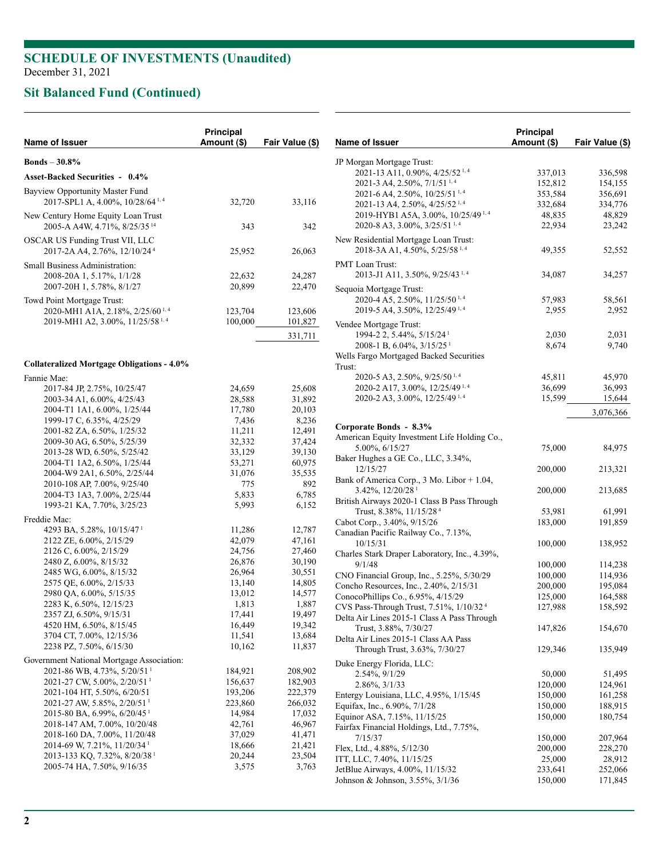# **Sit Balanced Fund (Continued)**

| Name of Issuer                                                                     | Principal<br>Amount (\$) | Fair Value (\$)   |
|------------------------------------------------------------------------------------|--------------------------|-------------------|
| Bonds $-30.8\%$                                                                    |                          |                   |
| <b>Asset-Backed Securities - 0.4%</b>                                              |                          |                   |
| <b>Bayview Opportunity Master Fund</b>                                             |                          |                   |
| 2017-SPL1 A, 4.00%, 10/28/64 <sup>1,4</sup>                                        | 32,720                   | 33,116            |
| New Century Home Equity Loan Trust<br>2005-A A4W, 4.71%, 8/25/35 <sup>14</sup>     | 343                      | 342               |
| <b>OSCAR US Funding Trust VII, LLC</b><br>2017-2A A4, 2.76%, 12/10/24 <sup>4</sup> | 25,952                   | 26,063            |
| Small Business Administration:                                                     |                          |                   |
| 2008-20A 1, 5.17%, 1/1/28                                                          | 22,632                   | 24,287            |
| 2007-20H 1, 5.78%, 8/1/27                                                          | 20,899                   | 22,470            |
| Towd Point Mortgage Trust:                                                         |                          |                   |
| 2020-MH1 A1A, 2.18%, 2/25/60 <sup>1,4</sup>                                        | 123,704                  | 123,606           |
| 2019-MH1 A2, 3.00%, 11/25/58 <sup>1,4</sup>                                        | 100,000                  | 101,827           |
|                                                                                    |                          | 331,711           |
| <b>Collateralized Mortgage Obligations - 4.0%</b>                                  |                          |                   |
| Fannie Mae:                                                                        |                          |                   |
| 2017-84 JP, 2.75%, 10/25/47                                                        | 24,659                   | 25,608            |
| 2003-34 A1, 6.00%, 4/25/43                                                         | 28,588                   | 31,892            |
| 2004-T1 1A1, 6.00%, 1/25/44                                                        | 17,780                   | 20,103            |
| 1999-17 C, 6.35%, 4/25/29                                                          | 7,436                    | 8,236             |
| 2001-82 ZA, 6.50%, 1/25/32                                                         | 11,211                   | 12,491            |
| 2009-30 AG, 6.50%, 5/25/39                                                         | 32,332                   | 37,424            |
| 2013-28 WD, 6.50%, 5/25/42                                                         | 33,129                   | 39,130            |
| 2004-T1 1A2, 6.50%, 1/25/44<br>2004-W9 2A1, 6.50%, 2/25/44                         | 53,271<br>31,076         | 60,975<br>35,535  |
| 2010-108 AP, 7.00%, 9/25/40                                                        | 775                      | 892               |
| 2004-T3 1A3, 7.00%, 2/25/44                                                        | 5,833                    | 6,785             |
| 1993-21 KA, 7.70%, 3/25/23                                                         | 5,993                    | 6,152             |
| Freddie Mac:                                                                       |                          |                   |
| 4293 BA, 5.28%, 10/15/47 <sup>1</sup>                                              | 11,286                   | 12,787            |
| 2122 ZE, 6.00%, 2/15/29                                                            | 42,079                   | 47,161            |
| 2126 C, 6.00%, 2/15/29                                                             | 24,756<br>26,876         | 27,460            |
| 2480 Z, 6.00%, 8/15/32<br>2485 WG, 6.00%, 8/15/32                                  | 26,964                   | 30,190<br>30,551  |
| 2575 QE, 6.00%, 2/15/33                                                            | 13,140                   | 14,805            |
| 2980 QA, 6.00%, 5/15/35                                                            | 13,012                   | 14,577            |
| 2283 K, 6.50%, 12/15/23                                                            | 1,813                    | 1,887             |
| 2357 ZJ, 6.50%, 9/15/31                                                            | 17,441                   | 19,497            |
| 4520 HM, 6.50%, 8/15/45                                                            | 16,449                   | 19,342            |
| 3704 CT, 7.00%, 12/15/36                                                           | 11,541                   | 13,684            |
| 2238 PZ, 7.50%, 6/15/30                                                            | 10,162                   | 11,837            |
| Government National Mortgage Association:                                          |                          |                   |
| 2021-86 WB, 4.73%, 5/20/51 <sup>1</sup>                                            | 184,921                  | 208,902           |
| 2021-27 CW, 5.00%, 2/20/51 <sup>1</sup>                                            | 156,637                  | 182,903           |
| 2021-104 HT, 5.50%, 6/20/51                                                        | 193,206                  | 222,379           |
| 2021-27 AW, 5.85%, 2/20/51 <sup>1</sup><br>2015-80 BA, 6.99%, 6/20/45 <sup>1</sup> | 223,860<br>14,984        | 266,032<br>17,032 |
| 2018-147 AM, 7.00%, 10/20/48                                                       | 42,761                   | 46,967            |
| 2018-160 DA, 7.00%, 11/20/48                                                       | 37,029                   | 41,471            |
| 2014-69 W, 7.21%, 11/20/34 <sup>1</sup>                                            | 18,666                   | 21,421            |
| 2013-133 KQ, 7.32%, 8/20/38 <sup>1</sup>                                           | 20,244                   | 23,504            |
| 2005-74 HA, 7.50%, 9/16/35                                                         | 3,575                    | 3,763             |
|                                                                                    |                          |                   |

| Name of Issuer                                                                    | <b>Principal</b><br>Amount (\$) | Fair Value (\$)    |
|-----------------------------------------------------------------------------------|---------------------------------|--------------------|
|                                                                                   |                                 |                    |
| JP Morgan Mortgage Trust:<br>2021-13 A11, 0.90%, 4/25/52 <sup>1,4</sup>           |                                 |                    |
| 2021-3 A4, 2.50%, 7/1/51 <sup>1,4</sup>                                           | 337,013<br>152,812              | 336,598<br>154,155 |
| 2021-6 A4, 2.50%, 10/25/51 <sup>1,4</sup>                                         | 353,584                         | 356,691            |
| 2021-13 A4, 2.50%, 4/25/52 <sup>1,4</sup>                                         | 332,684                         | 334,776            |
| 2019-HYB1 A5A, 3.00%, 10/25/49 <sup>1,4</sup>                                     | 48,835                          | 48,829             |
| 2020-8 A3, 3.00%, 3/25/51 <sup>1,4</sup>                                          | 22,934                          | 23,242             |
| New Residential Mortgage Loan Trust:<br>2018-3A A1, 4.50%, 5/25/58 <sup>1,4</sup> | 49,355                          | 52,552             |
| PMT Loan Trust:<br>2013-J1 A11, 3.50%, 9/25/43 <sup>1,4</sup>                     | 34,087                          | 34,257             |
| Sequoia Mortgage Trust:                                                           |                                 |                    |
| 2020-4 A5, 2.50%, 11/25/50 <sup>1,4</sup>                                         | 57,983                          | 58,561             |
| 2019-5 A4, 3.50%, 12/25/49 <sup>1,4</sup>                                         | 2,955                           | 2,952              |
| Vendee Mortgage Trust:                                                            |                                 |                    |
| 1994-2 2, 5.44%, 5/15/24 <sup>1</sup>                                             | 2,030                           | 2,031              |
| 2008-1 B, 6.04%, 3/15/25 <sup>1</sup>                                             | 8,674                           | 9,740              |
| Wells Fargo Mortgaged Backed Securities<br>Trust:                                 |                                 |                    |
| 2020-5 A3, 2.50%, 9/25/50 <sup>1,4</sup>                                          | 45,811                          | 45,970             |
| 2020-2 A17, 3.00%, 12/25/49 <sup>1,4</sup>                                        | 36,699                          | 36,993             |
| 2020-2 A3, 3.00%, 12/25/49 <sup>1,4</sup>                                         | 15,599                          | 15,644             |
|                                                                                   |                                 | 3,076,366          |
| Corporate Bonds - 8.3%                                                            |                                 |                    |
| American Equity Investment Life Holding Co.,                                      |                                 |                    |
| 5.00%, 6/15/27                                                                    | 75,000                          | 84,975             |
| Baker Hughes a GE Co., LLC, 3.34%,<br>12/15/27                                    | 200,000                         | 213,321            |
| Bank of America Corp., 3 Mo. Libor + 1.04,<br>$3.42\%, 12/20/28$ <sup>1</sup>     | 200,000                         | 213,685            |
| British Airways 2020-1 Class B Pass Through                                       |                                 |                    |
| Trust, 8.38%, 11/15/28 <sup>4</sup>                                               | 53,981                          | 61,991             |
| Cabot Corp., 3.40%, 9/15/26                                                       | 183,000                         | 191,859            |
| Canadian Pacific Railway Co., 7.13%,<br>10/15/31                                  | 100,000                         | 138,952            |
| Charles Stark Draper Laboratory, Inc., 4.39%,                                     |                                 |                    |
| 9/1/48                                                                            | 100,000                         | 114,238            |
| CNO Financial Group, Inc., 5.25%, 5/30/29                                         | 100,000                         | 114,936            |
| Concho Resources, Inc., 2.40%, 2/15/31<br>ConocoPhillips Co., 6.95%, 4/15/29      | 200,000<br>125,000              | 195,084<br>164,588 |
| CVS Pass-Through Trust, 7.51%, 1/10/32 <sup>4</sup>                               | 127,988                         | 158,592            |
| Delta Air Lines 2015-1 Class A Pass Through                                       |                                 |                    |
| Trust, 3.88%, 7/30/27<br>Delta Air Lines 2015-1 Class AA Pass                     | 147,826                         | 154,670            |
| Through Trust, 3.63%, 7/30/27                                                     | 129,346                         | 135,949            |
| Duke Energy Florida, LLC:                                                         |                                 |                    |
| 2.54%, 9/1/29                                                                     | 50,000                          | 51,495             |
| 2.86%, 3/1/33<br>Entergy Louisiana, LLC, 4.95%, 1/15/45                           | 120,000                         | 124,961            |
| Equifax, Inc., 6.90%, 7/1/28                                                      | 150,000<br>150,000              | 161,258<br>188,915 |
| Equinor ASA, 7.15%, 11/15/25                                                      | 150,000                         | 180,754            |
| Fairfax Financial Holdings, Ltd., 7.75%,                                          |                                 |                    |
| 7/15/37                                                                           | 150,000                         | 207,964            |
| Flex, Ltd., 4.88%, 5/12/30                                                        | 200,000                         | 228,270            |
| ITT, LLC, 7.40%, 11/15/25                                                         | 25,000                          | 28,912             |
| JetBlue Airways, 4.00%, 11/15/32                                                  | 233,641                         | 252,066            |
| Johnson & Johnson, 3.55%, 3/1/36                                                  | 150,000                         | 171,845            |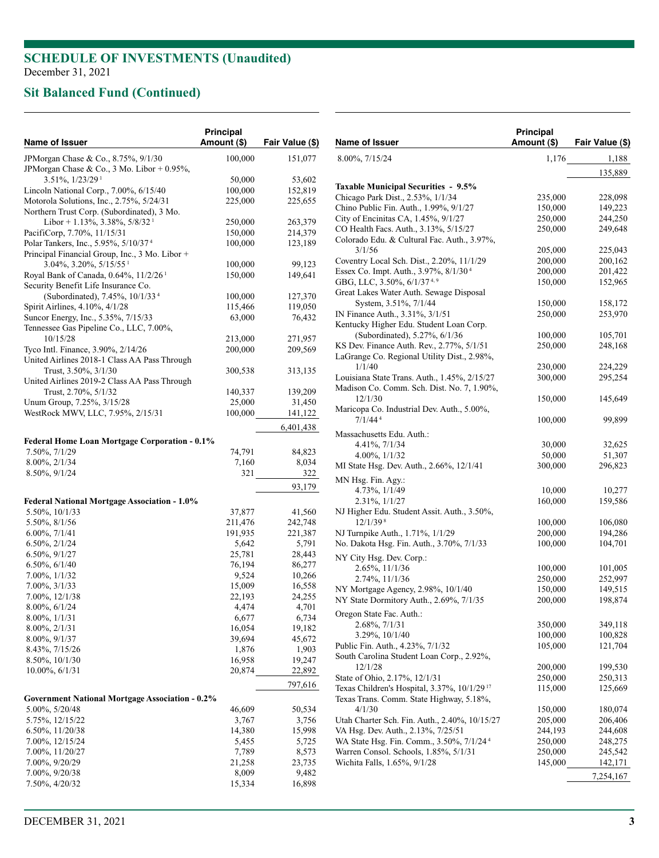# **Sit Balanced Fund (Continued)**

|                                                                                                | <b>Principal</b> |                   |
|------------------------------------------------------------------------------------------------|------------------|-------------------|
| Name of Issuer                                                                                 | Amount (\$)      | Fair Value (\$)   |
| JPMorgan Chase & Co., 8.75%, 9/1/30                                                            | 100,000          | 151,077           |
| JPMorgan Chase & Co., 3 Mo. Libor $+$ 0.95%,                                                   |                  |                   |
| $3.51\%, \frac{1}{23}/291$                                                                     | 50,000           | 53,602            |
| Lincoln National Corp., 7.00%, 6/15/40                                                         | 100,000          | 152,819           |
| Motorola Solutions, Inc., 2.75%, 5/24/31                                                       | 225,000          | 225,655           |
| Northern Trust Corp. (Subordinated), 3 Mo.                                                     |                  |                   |
| Libor + 1.13%, 3.38%, $5/8/321$                                                                | 250,000          | 263,379           |
| PacifiCorp, 7.70%, 11/15/31                                                                    | 150,000          | 214,379           |
| Polar Tankers, Inc., 5.95%, 5/10/37 <sup>4</sup>                                               | 100,000          | 123,189           |
| Principal Financial Group, Inc., 3 Mo. Libor +<br>$3.04\%, 3.20\%, 5/15/55$ <sup>1</sup>       |                  |                   |
|                                                                                                | 100,000          | 99,123<br>149,641 |
| Royal Bank of Canada, $0.64\%$ , $11/2/26$ <sup>1</sup><br>Security Benefit Life Insurance Co. | 150,000          |                   |
| (Subordinated), 7.45%, 10/1/33 <sup>4</sup>                                                    | 100,000          | 127,370           |
| Spirit Airlines, 4.10%, 4/1/28                                                                 | 115,466          | 119,050           |
| Suncor Energy, Inc., 5.35%, 7/15/33                                                            | 63,000           | 76,432            |
| Tennessee Gas Pipeline Co., LLC, 7.00%,                                                        |                  |                   |
| 10/15/28                                                                                       | 213,000          | 271,957           |
| Tyco Intl. Finance, 3.90%, 2/14/26                                                             | 200,000          | 209,569           |
| United Airlines 2018-1 Class AA Pass Through                                                   |                  |                   |
| Trust, 3.50%, 3/1/30                                                                           | 300,538          | 313,135           |
| United Airlines 2019-2 Class AA Pass Through                                                   |                  |                   |
| Trust, 2.70%, 5/1/32                                                                           | 140,337          | 139,209           |
| Unum Group, 7.25%, 3/15/28                                                                     | 25,000           | 31,450            |
| WestRock MWV, LLC, 7.95%, 2/15/31                                                              | 100,000          | 141,122           |
|                                                                                                |                  | 6,401,438         |
| Federal Home Loan Mortgage Corporation - 0.1%                                                  |                  |                   |
| 7.50%, 7/1/29                                                                                  | 74,791           | 84,823            |
| 8.00%, 2/1/34                                                                                  | 7,160            | 8,034             |
| 8.50%, 9/1/24                                                                                  | 321              | 322               |
|                                                                                                |                  | 93,179            |
|                                                                                                |                  |                   |
| Federal National Mortgage Association - 1.0%<br>5.50%, 10/1/33                                 | 37,877           | 41,560            |
| 5.50%, 8/1/56                                                                                  | 211,476          | 242,748           |
| $6.00\%, 7/1/41$                                                                               | 191,935          | 221,387           |
| $6.50\%, 2/1/24$                                                                               | 5,642            | 5,791             |
| $6.50\%, 9/1/27$                                                                               | 25,781           | 28,443            |
| $6.50\%, 6/1/40$                                                                               | 76,194           | 86,277            |
| 7.00%, 1/1/32                                                                                  | 9,524            | 10,266            |
| 7.00%, 3/1/33                                                                                  | 15,009           | 16,558            |
| 7.00%, 12/1/38                                                                                 | 22,193           | 24,255            |
| 8.00%, 6/1/24                                                                                  | 4,474            | 4,701             |
| 8.00%, 1/1/31                                                                                  | 6,677            | 6,734             |
| 8.00%, 2/1/31                                                                                  | 16,054           | 19,182            |
| 8.00%, 9/1/37                                                                                  | 39,694           | 45,672            |
| 8.43%, 7/15/26                                                                                 | 1,876            | 1,903             |
| 8.50%, 10/1/30                                                                                 | 16,958           | 19,247            |
| 10.00%, 6/1/31                                                                                 | 20,874           | 22,892            |
|                                                                                                |                  | 797,616           |
| <b>Government National Mortgage Association - 0.2%</b>                                         |                  |                   |
| 5.00%, 5/20/48                                                                                 | 46,609           | 50,534            |
| 5.75%, 12/15/22                                                                                | 3,767            | 3,756             |
| 6.50%, 11/20/38                                                                                | 14,380           | 15,998            |
| 7.00%, 12/15/24                                                                                | 5,455            | 5,725             |
| 7.00%, 11/20/27                                                                                | 7,789            | 8,573             |
| 7.00%, 9/20/29                                                                                 | 21,258           | 23,735            |
| 7.00%, 9/20/38                                                                                 | 8,009            | 9,482             |
| 7.50%, 4/20/32                                                                                 | 15,334           | 16,898            |

| Name of Issuer                                                                      | <b>Principal</b><br>Amount (\$) | Fair Value (\$)    |
|-------------------------------------------------------------------------------------|---------------------------------|--------------------|
| 8.00%, 7/15/24                                                                      |                                 | 1,176<br>1,188     |
|                                                                                     |                                 | 135,889            |
| <b>Taxable Municipal Securities - 9.5%</b>                                          |                                 |                    |
| Chicago Park Dist., 2.53%, 1/1/34                                                   | 235,000                         | 228,098            |
| Chino Public Fin. Auth., 1.99%, 9/1/27                                              | 150,000                         | 149,223            |
| City of Encinitas CA, 1.45%, 9/1/27                                                 | 250,000                         | 244,250            |
| CO Health Facs. Auth., 3.13%, 5/15/27                                               | 250,000                         | 249,648            |
| Colorado Edu. & Cultural Fac. Auth., 3.97%,                                         |                                 |                    |
| 3/1/56                                                                              | 205,000                         | 225,043            |
| Coventry Local Sch. Dist., 2.20%, 11/1/29                                           | 200,000                         | 200,162            |
| Essex Co. Impt. Auth., 3.97%, 8/1/30 <sup>4</sup>                                   | 200,000                         | 201,422            |
| GBG, LLC, 3.50%, 6/1/37 <sup>4,9</sup>                                              | 150,000                         | 152,965            |
| Great Lakes Water Auth. Sewage Disposal                                             |                                 |                    |
| System, 3.51%, 7/1/44<br>IN Finance Auth., 3.31%, 3/1/51                            | 150,000<br>250,000              | 158,172<br>253,970 |
| Kentucky Higher Edu. Student Loan Corp.                                             |                                 |                    |
| (Subordinated), 5.27%, 6/1/36                                                       | 100,000                         | 105,701            |
| KS Dev. Finance Auth. Rev., 2.77%, 5/1/51                                           | 250,000                         | 248,168            |
| LaGrange Co. Regional Utility Dist., 2.98%,                                         |                                 |                    |
| 1/1/40                                                                              | 230,000                         | 224,229            |
| Louisiana State Trans. Auth., 1.45%, 2/15/27                                        | 300,000                         | 295,254            |
| Madison Co. Comm. Sch. Dist. No. 7, 1.90%,                                          |                                 |                    |
| 12/1/30                                                                             | 150,000                         | 145,649            |
| Maricopa Co. Industrial Dev. Auth., 5.00%,                                          |                                 |                    |
| 7/1/44 <sup>4</sup>                                                                 | 100,000                         | 99,899             |
| Massachusetts Edu. Auth.:                                                           |                                 |                    |
| 4.41%, 7/1/34                                                                       | 30,000                          | 32,625             |
| 4.00%, 1/1/32                                                                       | 50,000                          | 51,307             |
| MI State Hsg. Dev. Auth., 2.66%, 12/1/41                                            | 300,000                         | 296,823            |
| MN Hsg. Fin. Agy.:                                                                  |                                 |                    |
| 4.73%, $1/1/49$                                                                     | 10,000                          | 10,277             |
| 2.31%, $1/1/27$                                                                     | 160,000                         | 159,586            |
| NJ Higher Edu. Student Assit. Auth., 3.50%,                                         |                                 |                    |
| 12/1/39 <sup>8</sup>                                                                | 100,000                         | 106,080            |
| NJ Turnpike Auth., 1.71%, 1/1/29                                                    | 200,000                         | 194,286            |
| No. Dakota Hsg. Fin. Auth., 3.70%, 7/1/33                                           | 100,000                         | 104,701            |
| NY City Hsg. Dev. Corp.:                                                            |                                 |                    |
| 2.65%, 11/1/36                                                                      | 100,000                         | 101,005            |
| 2.74%, 11/1/36                                                                      | 250,000                         | 252,997            |
| NY Mortgage Agency, 2.98%, 10/1/40                                                  | 150,000                         | 149,515            |
| NY State Dormitory Auth., 2.69%, 7/1/35                                             | 200,000                         | 198,874            |
| Oregon State Fac. Auth.:                                                            |                                 |                    |
| 2.68%, 7/1/31                                                                       | 350,000                         | 349,118            |
| 3.29%, 10/1/40                                                                      | 100,000                         | 100,828            |
| Public Fin. Auth., 4.23%, 7/1/32                                                    | 105,000                         | 121,704            |
| South Carolina Student Loan Corp., 2.92%,                                           |                                 |                    |
| 12/1/28                                                                             | 200,000                         | 199,530            |
| State of Ohio, 2.17%, 12/1/31                                                       | 250,000                         | 250,313            |
| Texas Children's Hospital, 3.37%, 10/1/29 <sup>17</sup>                             | 115,000                         | 125,669            |
| Texas Trans. Comm. State Highway, 5.18%,                                            |                                 |                    |
| 4/1/30                                                                              | 150,000                         | 180,074            |
| Utah Charter Sch. Fin. Auth., 2.40%, 10/15/27<br>VA Hsg. Dev. Auth., 2.13%, 7/25/51 | 205,000<br>244,193              | 206,406            |
| WA State Hsg. Fin. Comm., 3.50%, 7/1/24 <sup>4</sup>                                | 250,000                         | 244,608<br>248,275 |
| Warren Consol. Schools, 1.85%, 5/1/31                                               | 250,000                         | 245,542            |
| Wichita Falls, 1.65%, 9/1/28                                                        | 145,000                         | 142,171            |
|                                                                                     |                                 |                    |
|                                                                                     |                                 | 7,254,167          |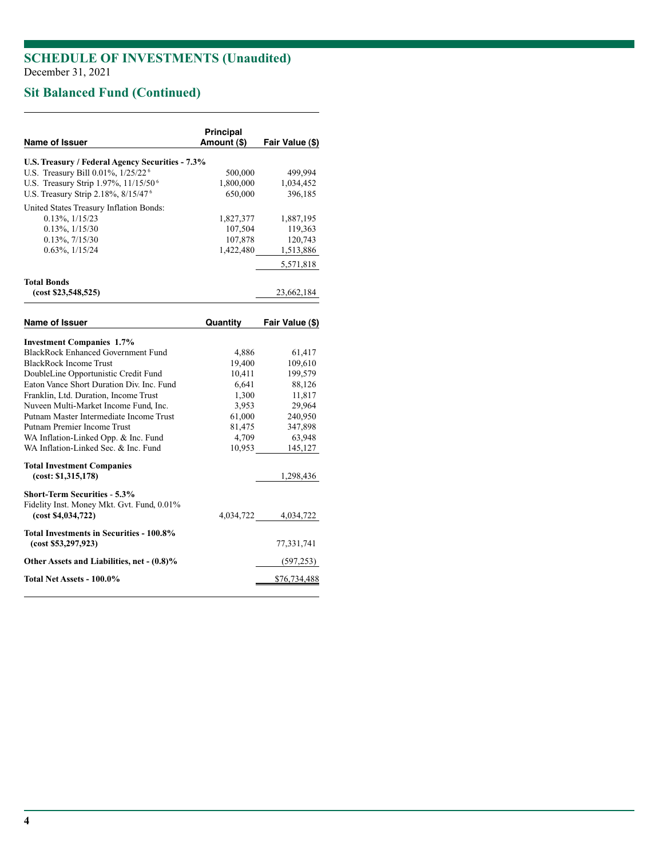# **Sit Balanced Fund (Continued)**

| <b>Name of Issuer</b>                                            | <b>Principal</b><br>Amount (\$) | Fair Value (\$) |
|------------------------------------------------------------------|---------------------------------|-----------------|
| U.S. Treasury / Federal Agency Securities - 7.3%                 |                                 |                 |
| U.S. Treasury Bill 0.01%, 1/25/22 <sup>6</sup>                   | 500,000                         | 499,994         |
| U.S. Treasury Strip 1.97%, 11/15/50 <sup>6</sup>                 | 1,800,000                       | 1,034,452       |
| U.S. Treasury Strip 2.18%, 8/15/47 <sup>6</sup>                  | 650,000                         | 396,185         |
| United States Treasury Inflation Bonds:                          |                                 |                 |
| $0.13\%, 1/15/23$                                                | 1,827,377                       | 1,887,195       |
| $0.13\%, 1/15/30$                                                | 107,504                         | 119,363         |
| $0.13\%, 7/15/30$                                                | 107,878                         | 120,743         |
| $0.63\%, 1/15/24$                                                | 1,422,480                       | 1,513,886       |
|                                                                  |                                 |                 |
|                                                                  |                                 | 5,571,818       |
| <b>Total Bonds</b><br>(cost \$23,548,525)                        |                                 | 23,662,184      |
|                                                                  |                                 |                 |
| <b>Name of Issuer</b>                                            | Quantity                        | Fair Value (\$) |
|                                                                  |                                 |                 |
| <b>Investment Companies 1.7%</b>                                 |                                 |                 |
| BlackRock Enhanced Government Fund                               | 4,886                           | 61,417          |
| <b>BlackRock Income Trust</b>                                    | 19,400                          | 109,610         |
| DoubleLine Opportunistic Credit Fund                             | 10,411                          | 199,579         |
| Eaton Vance Short Duration Div. Inc. Fund                        | 6,641                           | 88,126          |
| Franklin, Ltd. Duration, Income Trust                            | 1,300                           | 11,817          |
| Nuveen Multi-Market Income Fund, Inc.                            | 3,953                           | 29,964          |
| Putnam Master Intermediate Income Trust                          | 61,000                          | 240,950         |
| Putnam Premier Income Trust                                      | 81,475                          | 347,898         |
| WA Inflation-Linked Opp. & Inc. Fund                             | 4,709                           | 63,948          |
| WA Inflation-Linked Sec. & Inc. Fund                             | 10,953                          | 145,127         |
| <b>Total Investment Companies</b><br>(cost: \$1,315,178)         |                                 | 1,298,436       |
| <b>Short-Term Securities - 5.3%</b>                              |                                 |                 |
| Fidelity Inst. Money Mkt. Gvt. Fund, 0.01%<br>(cost \$4,034,722) | 4,034,722                       | 4,034,722       |
| Total Investments in Securities - 100.8%<br>(cost \$53,297,923)  |                                 | 77,331,741      |
| Other Assets and Liabilities, net - (0.8)%                       |                                 | (597, 253)      |
| Total Net Assets - 100.0%                                        |                                 | \$76,734,488    |